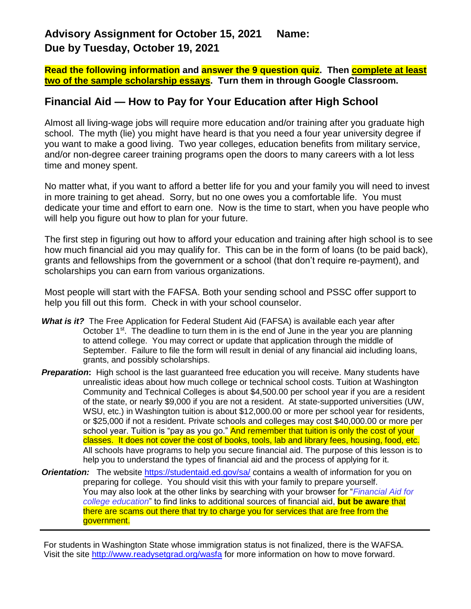### **Advisory Assignment for October 15, 2021 Name: Due by Tuesday, October 19, 2021**

**Read the following information and answer the 9 question quiz. Then complete at least two of the sample scholarship essays. Turn them in through Google Classroom.**

### **Financial Aid — How to Pay for Your Education after High School**

Almost all living-wage jobs will require more education and/or training after you graduate high school. The myth (lie) you might have heard is that you need a four year university degree if you want to make a good living. Two year colleges, education benefits from military service, and/or non-degree career training programs open the doors to many careers with a lot less time and money spent.

No matter what, if you want to afford a better life for you and your family you will need to invest in more training to get ahead. Sorry, but no one owes you a comfortable life. You must dedicate your time and effort to earn one. Now is the time to start, when you have people who will help you figure out how to plan for your future.

The first step in figuring out how to afford your education and training after high school is to see how much financial aid you may qualify for. This can be in the form of loans (to be paid back), grants and fellowships from the government or a school (that don't require re-payment), and scholarships you can earn from various organizations.

Most people will start with the FAFSA. Both your sending school and PSSC offer support to help you fill out this form. Check in with your school counselor.

- *What is it?* The Free Application for Federal Student Aid (FAFSA) is available each year after October 1<sup>st</sup>. The deadline to turn them in is the end of June in the year you are planning to attend college. You may correct or update that application through the middle of September. Failure to file the form will result in denial of any financial aid including loans, grants, and possibly scholarships.
- *Preparation***:** High school is the last guaranteed free education you will receive. Many students have unrealistic ideas about how much college or technical school costs. Tuition at Washington Community and Technical Colleges is about \$4,500.00 per school year if you are a resident of the state, or nearly \$9,000 if you are not a resident. At state-supported universities (UW, WSU, etc.) in Washington tuition is about \$12,000.00 or more per school year for residents, or \$25,000 if not a resident. Private schools and colleges may cost \$40,000.00 or more per school year. Tuition is "pay as you go." And remember that tuition is only the cost of your classes. It does not cover the cost of books, tools, lab and library fees, housing, food, etc. All schools have programs to help you secure financial aid. The purpose of this lesson is to help you to understand the types of financial aid and the process of applying for it.
- *Orientation:* The website<https://studentaid.ed.gov/sa/> contains a wealth of information for you on preparing for college. You should visit this with your family to prepare yourself. You may also look at the other links by searching with your browser for "*Financial Aid for college education*" to find links to additional sources of financial aid, **but be aware** that there are scams out there that try to charge you for services that are free from the government.

For students in Washington State whose immigration status is not finalized, there is the WAFSA. Visit the site<http://www.readysetgrad.org/wasfa> for more information on how to move forward.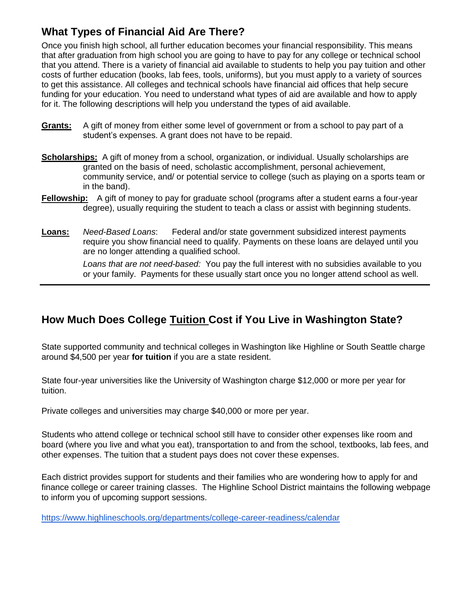# **What Types of Financial Aid Are There?**

Once you finish high school, all further education becomes your financial responsibility. This means that after graduation from high school you are going to have to pay for any college or technical school that you attend. There is a variety of financial aid available to students to help you pay tuition and other costs of further education (books, lab fees, tools, uniforms), but you must apply to a variety of sources to get this assistance. All colleges and technical schools have financial aid offices that help secure funding for your education. You need to understand what types of aid are available and how to apply for it. The following descriptions will help you understand the types of aid available.

- **Grants:** A gift of money from either some level of government or from a school to pay part of a student's expenses. A grant does not have to be repaid.
- **Scholarships:** A gift of money from a school, organization, or individual. Usually scholarships are granted on the basis of need, scholastic accomplishment, personal achievement, community service, and/ or potential service to college (such as playing on a sports team or in the band).
- **Fellowship:** A gift of money to pay for graduate school (programs after a student earns a four-year degree), usually requiring the student to teach a class or assist with beginning students.
- **Loans:** *Need-Based Loans*: Federal and/or state government subsidized interest payments require you show financial need to qualify. Payments on these loans are delayed until you are no longer attending a qualified school.

*Loans that are not need-based:* You pay the full interest with no subsidies available to you or your family. Payments for these usually start once you no longer attend school as well.

# **How Much Does College Tuition Cost if You Live in Washington State?**

State supported community and technical colleges in Washington like Highline or South Seattle charge around \$4,500 per year **for tuition** if you are a state resident.

State four-year universities like the University of Washington charge \$12,000 or more per year for tuition.

Private colleges and universities may charge \$40,000 or more per year.

Students who attend college or technical school still have to consider other expenses like room and board (where you live and what you eat), transportation to and from the school, textbooks, lab fees, and other expenses. The tuition that a student pays does not cover these expenses.

Each district provides support for students and their families who are wondering how to apply for and finance college or career training classes. The Highline School District maintains the following webpage to inform you of upcoming support sessions.

<https://www.highlineschools.org/departments/college-career-readiness/calendar>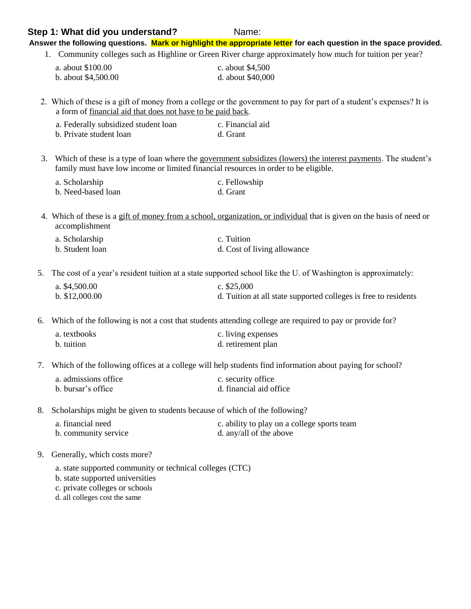#### **Step 1: What did you understand?** Name:

**Answer the following questions. Mark or highlight the appropriate letter for each question in the space provided.**

1. Community colleges such as Highline or Green River charge approximately how much for tuition per year?

| a. about \$100.00   | c. about \$4,500  |
|---------------------|-------------------|
| b. about \$4,500.00 | d. about \$40,000 |

2. Which of these is a gift of money from a college or the government to pay for part of a student's expenses? It is a form of financial aid that does not have to be paid back.

| a. Federally subsidized student loan | c. Financial aid |
|--------------------------------------|------------------|
| b. Private student loan              | d. Grant         |

3. Which of these is a type of loan where the government subsidizes (lowers) the interest payments. The student's family must have low income or limited financial resources in order to be eligible.

| a. Scholarship     | c. Fellowship |
|--------------------|---------------|
| b. Need-based loan | d. Grant      |

4. Which of these is a gift of money from a school, organization, or individual that is given on the basis of need or accomplishment

| a. Scholarship  | c. Tuition                  |
|-----------------|-----------------------------|
| b. Student loan | d. Cost of living allowance |

5. The cost of a year's resident tuition at a state supported school like the U. of Washington is approximately:

| a. $$4,500.00$  | c. $$25,000$                                                    |
|-----------------|-----------------------------------------------------------------|
| b. $$12,000.00$ | d. Tuition at all state supported colleges is free to residents |

6. Which of the following is not a cost that students attending college are required to pay or provide for?

| a. textbooks | c. living expenses |
|--------------|--------------------|
| b. tuition   | d. retirement plan |

7. Which of the following offices at a college will help students find information about paying for school?

| a. admissions office | c. security office      |
|----------------------|-------------------------|
| b. bursar's office   | d. financial aid office |

8. Scholarships might be given to students because of which of the following?

| a. financial need    | c. ability to play on a college sports team |
|----------------------|---------------------------------------------|
| b. community service | d. any/all of the above                     |

#### 9. Generally, which costs more?

a. state supported community or technical colleges (CTC)

b. state supported universities

c. private colleges or schools

d. all colleges cost the same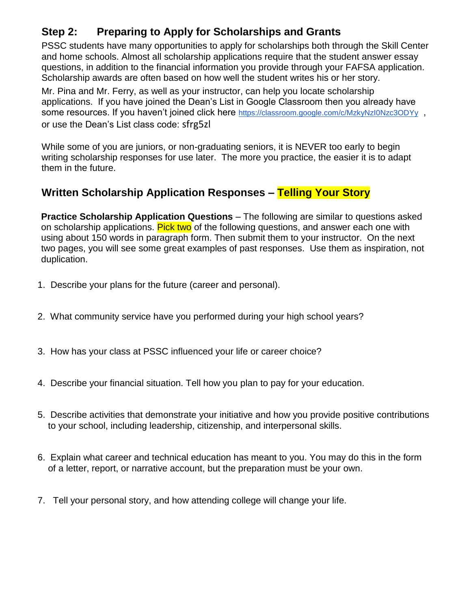# **Step 2: Preparing to Apply for Scholarships and Grants**

PSSC students have many opportunities to apply for scholarships both through the Skill Center and home schools. Almost all scholarship applications require that the student answer essay questions, in addition to the financial information you provide through your FAFSA application. Scholarship awards are often based on how well the student writes his or her story.

Mr. Pina and Mr. Ferry, as well as your instructor, can help you locate scholarship applications. If you have joined the Dean's List in Google Classroom then you already have some resources. If you haven't joined click here <https://classroom.google.com/c/MzkyNzI0Nzc3ODYy>, or use the Dean's List class code: sfrg5zl

While some of you are juniors, or non-graduating seniors, it is NEVER too early to begin writing scholarship responses for use later. The more you practice, the easier it is to adapt them in the future.

# **Written Scholarship Application Responses – Telling Your Story**

**Practice Scholarship Application Questions** – The following are similar to questions asked on scholarship applications. Pick two of the following questions, and answer each one with using about 150 words in paragraph form. Then submit them to your instructor. On the next two pages, you will see some great examples of past responses. Use them as inspiration, not duplication.

- 1. Describe your plans for the future (career and personal).
- 2. What community service have you performed during your high school years?
- 3. How has your class at PSSC influenced your life or career choice?
- 4. Describe your financial situation. Tell how you plan to pay for your education.
- 5. Describe activities that demonstrate your initiative and how you provide positive contributions to your school, including leadership, citizenship, and interpersonal skills.
- 6. Explain what career and technical education has meant to you. You may do this in the form of a letter, report, or narrative account, but the preparation must be your own.
- 7. Tell your personal story, and how attending college will change your life.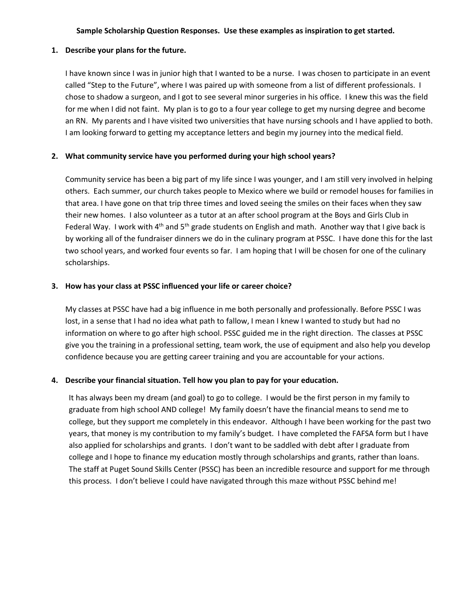#### **Sample Scholarship Question Responses. Use these examples as inspiration to get started.**

#### **1. Describe your plans for the future.**

I have known since I was in junior high that I wanted to be a nurse. I was chosen to participate in an event called "Step to the Future", where I was paired up with someone from a list of different professionals. I chose to shadow a surgeon, and I got to see several minor surgeries in his office. I knew this was the field for me when I did not faint. My plan is to go to a four year college to get my nursing degree and become an RN. My parents and I have visited two universities that have nursing schools and I have applied to both. I am looking forward to getting my acceptance letters and begin my journey into the medical field.

#### **2. What community service have you performed during your high school years?**

Community service has been a big part of my life since I was younger, and I am still very involved in helping others. Each summer, our church takes people to Mexico where we build or remodel houses for families in that area. I have gone on that trip three times and loved seeing the smiles on their faces when they saw their new homes. I also volunteer as a tutor at an after school program at the Boys and Girls Club in Federal Way. I work with 4<sup>th</sup> and 5<sup>th</sup> grade students on English and math. Another way that I give back is by working all of the fundraiser dinners we do in the culinary program at PSSC. I have done this for the last two school years, and worked four events so far. I am hoping that I will be chosen for one of the culinary scholarships.

#### **3. How has your class at PSSC influenced your life or career choice?**

My classes at PSSC have had a big influence in me both personally and professionally. Before PSSC I was lost, in a sense that I had no idea what path to fallow, I mean I knew I wanted to study but had no information on where to go after high school. PSSC guided me in the right direction. The classes at PSSC give you the training in a professional setting, team work, the use of equipment and also help you develop confidence because you are getting career training and you are accountable for your actions.

### **4. Describe your financial situation. Tell how you plan to pay for your education.**

It has always been my dream (and goal) to go to college. I would be the first person in my family to graduate from high school AND college! My family doesn't have the financial means to send me to college, but they support me completely in this endeavor. Although I have been working for the past two years, that money is my contribution to my family's budget. I have completed the FAFSA form but I have also applied for scholarships and grants. I don't want to be saddled with debt after I graduate from college and I hope to finance my education mostly through scholarships and grants, rather than loans. The staff at Puget Sound Skills Center (PSSC) has been an incredible resource and support for me through this process. I don't believe I could have navigated through this maze without PSSC behind me!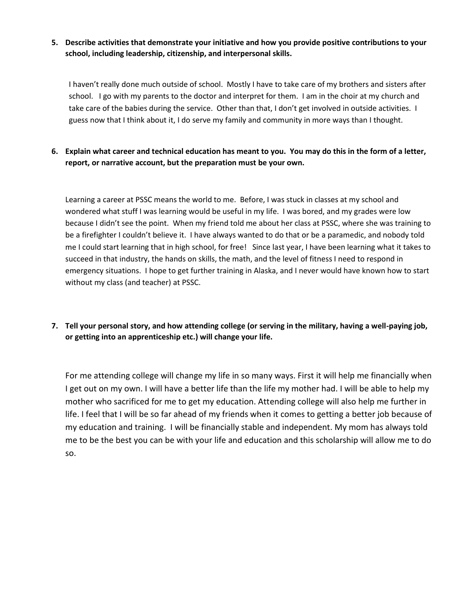### **5. Describe activities that demonstrate your initiative and how you provide positive contributions to your school, including leadership, citizenship, and interpersonal skills.**

I haven't really done much outside of school. Mostly I have to take care of my brothers and sisters after school. I go with my parents to the doctor and interpret for them. I am in the choir at my church and take care of the babies during the service. Other than that, I don't get involved in outside activities. I guess now that I think about it, I do serve my family and community in more ways than I thought.

### **6. Explain what career and technical education has meant to you. You may do this in the form of a letter, report, or narrative account, but the preparation must be your own.**

Learning a career at PSSC means the world to me. Before, I was stuck in classes at my school and wondered what stuff I was learning would be useful in my life. I was bored, and my grades were low because I didn't see the point. When my friend told me about her class at PSSC, where she was training to be a firefighter I couldn't believe it. I have always wanted to do that or be a paramedic, and nobody told me I could start learning that in high school, for free! Since last year, I have been learning what it takes to succeed in that industry, the hands on skills, the math, and the level of fitness I need to respond in emergency situations. I hope to get further training in Alaska, and I never would have known how to start without my class (and teacher) at PSSC.

### **7. Tell your personal story, and how attending college (or serving in the military, having a well-paying job, or getting into an apprenticeship etc.) will change your life.**

For me attending college will change my life in so many ways. First it will help me financially when I get out on my own. I will have a better life than the life my mother had. I will be able to help my mother who sacrificed for me to get my education. Attending college will also help me further in life. I feel that I will be so far ahead of my friends when it comes to getting a better job because of my education and training. I will be financially stable and independent. My mom has always told me to be the best you can be with your life and education and this scholarship will allow me to do so.